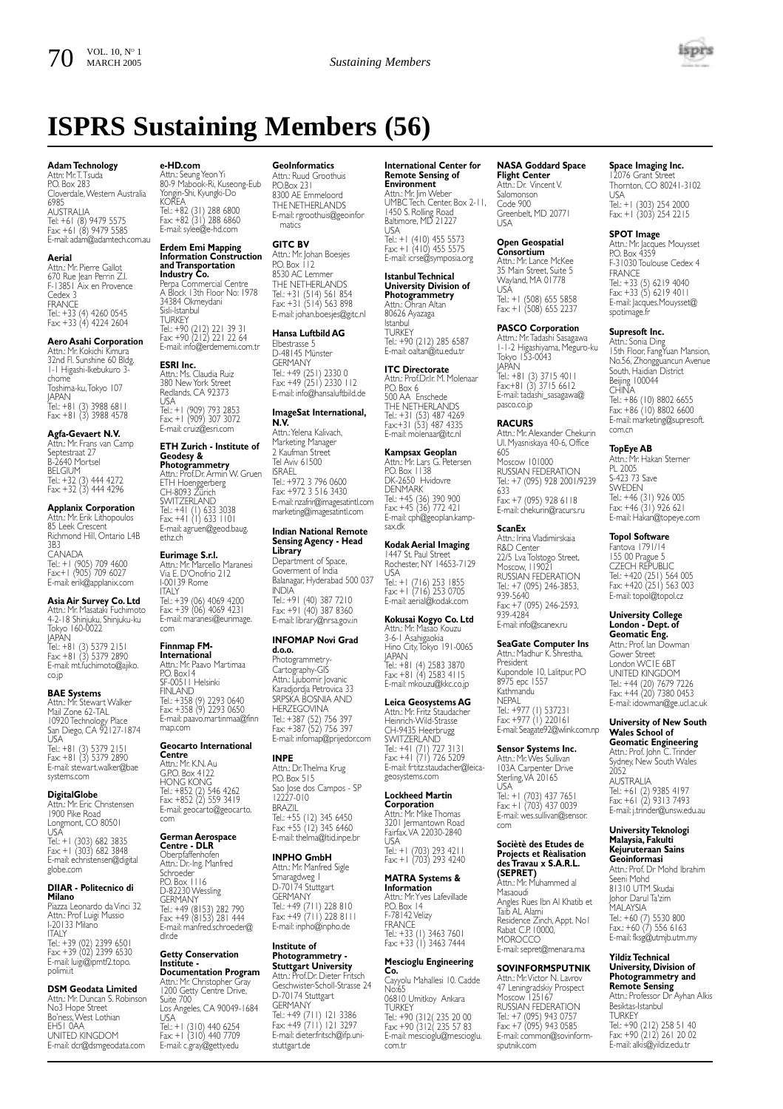# **ISPRS Sustaining Members (56)**

## **Adam Technology**

Attn: Mr.T.Tsuda P.O. Box 283 Cloverdale,Western Australia 6985 **AUSTRALIA** Tel: +61 (8) 9479 5575 Fax: +61 (8) 9479 5585 E-mail: adam@adamtech.com.au

**Aerial** Attn.: Mr. Pierre Gallot 670 Rue Jean Perrin Z.I. F-13851 Aix en Provence Cedex 3 FRANCE Tel.: +33 (4) 4260 0545 Fax: +33 (4) 4224 2604

## **Aero Asahi Corporation**

Attn.: Mr. Kokichi Kimura 32nd Fl. Sunshine 60 Bldg. 1-1 Higashi-Ikebukuro 3 chome Toshima-ku,Tokyo 107 JAPAN Tel.: +81 (3) 3988 6811 Fax: +81 (3) 3988 4578

## **Agfa-Gevaert N.V.**

Attn.: Mr. Frans van Camp Septestraat 27 B-2640 Mortsel BELGIUM<br>BELGIUM Tel.: +32 (3) 444 4272 Fax: +32 (3) 444 4296

## **Applanix Corporation**

Attn.: Mr. Erik Lithopoulos 85 Leek Crescent Richmond Hill, Ontario L4B 3B3 CANADA Tel.: +1 (905) 709 4600 Fax:+1 (905) 709 6027 E-mail: erik@applanix.com

# Asia Air Survey Co. Ltd<br>Attn.: Mr. Masataki Fuchimote

Attn.: Mr. Masataki Fuchimoto 4-2-18 Shinjuku, Shinjuku-ku Tokyo 160-0022 JAPAN Tel.: +81 (3) 5379 2151 Fax: +81 (3) 5379 2890 E-mail: mt.fuchimoto@ajiko. co.jp

### **BAE Systems**

Attn.: Mr. Stewart Walker Mail Zone 62-TAL 10920 Technology Place San Diego, CA 92127-1874 USA Tel.: +81 (3) 5379 2151 Fax: +81 (3) 5379 2890 E-mail: stewart.walker@bae systems.com

## **DigitalGlobe**

Attn.: Mr. Eric Christensen 1900 Pike Road Longmont, CO 80501 USA Tel.: +1 (303) 682 3835 Fax: +1 (303) 682 3848

E-mail: echristensen@digital globe.com

#### **DIIAR - Politecnico di Milano**

Piazza Leonardo da Vinci 32 Attn.: Prof Luigi Mussio I-20133 Milano **ITALY** Tel.: +39 (02) 2399 6501 Fax: +39 (02) 2399 6530 E-mail: luigi@ipmtf2.topo. polimi.it

### **DSM Geodata Limited**

Attn.: Mr. Duncan S. Robinson No3 Hope Street Bo'ness,West Lothian EH51 0AA UNITED KINGDOM E-mail: dcr@dsmgeodata.com

# **e-HD.com** Attn.: Seung Yeon Yi 80-9 Mabook-Ri, Kuseong-Eub Yongin-Shi, Kyungki-Do KOREA Tel.: +82 (31) 288 6800 Fax: +82 (31) 288 6860

E-mail: sylee@e-hd.com **Erdem Emi Mapping Information Construction and Transportation<br><b>Industry Co.**<br>Perpa Commercial Centre<br>A Block 13th Floor No: 1978

34384 Okmeydani Sisli-Istanbul **TURKEY** Tel.: +90 (212) 221 39 31 Fax: +90 (212) 221 22 64 E-mail: info@erdememi.com.tr

**ESRI Inc.** Attn.: Ms. Claudia Ruiz 380 New York Street Redlands, CA 92373 USA Tel.: +1 (909) 793 2853 Fax: +1 (909) 307 3072 E-mail: cruiz@esri.com

### **ETH Zurich - Institute of Geodesy &**

**Photogrammetry** Attn.: Prof.Dr. Armin W. Gruen ETH Hoenggerberg CH-8093 Zürich SWITZERLAND<br>Tel.: +41 (1) 633 3038<br>Fax: +41 (1) 633 1101<br>E-mail: agruen@geod.baug. ethz.ch

**Eurimage S.r.I.**<br>Attn.: Mr. Marcello Maranesi<br>Via E. D'Onofrio 212<br>I-00139 Rome **ITALY** 

Tel.: +39 (06) 4069 4200 Fax: +39 (06) 4069 4231 E-mail: maranesi@eurimage. com

## **Finnmap FM-International**

Attn.: Mr. Paavo Martimaa P.O. Box14 SF-00511 Helsinki FINLAND Tel.: +358 (9) 2293 0640 Fax: +358 (9) 2293 0650 E-mail: paavo.martinmaa@finn map.com

## **Geocarto International**

**Centre** Attn.: Mr. K.N. Au G.P.O. Box 4122 HONG KONG Tel.: +852 (2) 546 4262 Fax: +852 (2) 559 3419 E-mail: geocarto@geocarto. com

#### **German Aerospace Centre - DLR**

Oberpfaffenhofen Attn.: Dr.-Ing. Manfred Schroeder P.O. Box 1116 no: Box<br>D-82230 Wessling<br>GERMANY GERMANY Tel.: +49 (8153) 282 790 Fax: +49 (8153) 281 444 E-mail: manfred.schroeder@ dlr.de

# **Getty Conservation Institute -**

**Documentation Program** Attn.: Mr. Christopher Gray 1200 Getty Centre Drive, Suite 700 Los Angeles, CA 90049-1684 USA Tel.: +1 (310) 440 6254 Fax: +1 (310) 440 7709 E-mail: c.gray@getty.edu

#### **GeoInformatics** Attn.: Ruud Groothuis

P.O.Box 231 8300 AE Emmeloor THE NETHERLANDS E-mail: rgroothuis@geoinfor matics

## **GITC BV**

Attn.: Mr. Johan Boesjes PO Box 112 8530 AC Lemmer THE NETHERLANDS Tel.: +31 (514) 561 854 Fax: +31 (514) 563 898 E-mail: johan.boesjes@gitc.nl

## **Hansa Luftbild AG**

Elbestrasse 5 D-48145 Münster GERMANY Tel.: +49 (251) 2330 0 Fax: +49 (251) 2330 112 E-mail: info@hansaluftbild.de **ImageSat International, N.V.**

Attn.:Yelena Kalivach, Marketing Manager 2 Kaufman Street Tel Aviv 61500 ISRAEL Tel.: +972 3 796 0600 Fax: +972 3 516 3430 E-mail: nzafrir@imagesatintl.com marketing@imagesatintl.com

## **Indian National Remote Sensing Agency - Head**

**Library** Department of Space, Goverment of India Balanagar, Hyderabad 500 037 INDIA Tel.: +91 (40) 387 7210 Fax: +91 (40) 387 8360 E-mail: library@nrsa.gov.in

### **INFOMAP Novi Grad**

**d.o.o.** Photogrammetry-Cartography-GIS Attn.: Ljubomir Jovanic Karadjordja Petrovica 33 SRPSKA BOSNIA AND HERZEGOVINA Tel.: +387 (52) 756 397 Fax: +387 (52) 756 397 E-mail: infomap@prijedor.com

#### **INPE**

Attn.: Dr.Thelma Krug PO. Box 515 Sao Jose dos Campos - SP 12227-010 BRAZIL Tel.: +55 (12) 345 6450 Fax: +55 (12) 345 6460 E-mail: thelma@ltid.inpe.br

#### **INPHO GmbH**

Attn.: Mr. Manfred Sigle Smaragdweg 1 D-70174 Stuttgart GERMANY Tel.: +49 (711) 228 810 Fax: +49 (711) 228 8111 E-mail: inpho@inpho.de

## **Institute of Photogrammetry -**

**Stuttgart University** Attn.: Prof.Dr. Dieter Fritsch Geschwister-Scholl-Strasse 24 D-70174 Stuttgart **GERMANY** Tel.: +49 (711) 121 3386 Fax: +49 (711) 121 3297 E-mail: dieter.fritsch@ifp.unistuttgart.de

## **International Center for Remote Sensing of Environment** Attn.: Mr. Jim Weber UMBC Tech. Center, Box 2-11, 1450 S. Rolling Road Baltimore, MD 21227

USA Tel.: +1 (410) 455 5573 Fax: +1 (410) 455 5575 E-mail: icrse@symposia.org

#### **Istanbul Technical University Division of Photogrammetry**

Attn.: Ohran Altan 80626 Ayazaga Istanbul **TURKEY** Tel.: +90 (212) 285 6587 E-mail: oaltan@itu.edu.tr

# **ITC Directorate** Attn.: Prof.Dr.Ir. M. Molenaar

P.O. Box 6 500 AA Enschede THE NETHERLANDS<br>Tel.: +31 (53) 487 4269<br>Fax:+31 (53) 487 4335 E-mail: molenaar@itc.nl

**Kampsax Geoplan**<br>Attn.: Mr. Lars G. Petersen<br>P.O. Box 1138 DK-2650 Hvidovre DENMARK Tel.: +45 (36) 390 900 Fax: +45 (36) 772 421 E-mail: cph@geoplan.kampsax.dk

## **Kodak Aerial Imaging** 1447 St. Paul Street Rochester, NY 14653-7129 USA Tel.: +1 (716) 253 1855 Fax: +1 (716) 253 0705 E-mail: aerial@kodak.com

**Kokusai Kogyo Co. Ltd** Attn.: Mr. Masao Kouzu 3-6-1 Asahigaokia Hino City,Tokyo 191-0065 JAPAN Tel.: +81 (4) 2583 3870 Fax: +81 (4) 2583 4115 E-mail: mkouzu@kkc.co.jp

## **Leica Geosystems AG**

Attn.: Mr. Fritz Staudacher Heinrich-Wild-Strasse CH-9435 Heerbrugg SWITZERLAND Tel.: +41 (71) 727 3131 Fax: +41 (71) 726 5209 E-mail: frtitz.staudacher@leicageosystems.com

## **Lockheed Martin**

**Corporation** Attn.: Mr. Mike Thomas 3201 Iermantown Road Fairfax,VA 22030-2840 USA Tel.: +1 (703) 293 4211 Fax: +1 (703) 293 4240

#### **MATRA Systems &**

**Information** Attn.: Mr.Yves Lafevillade P.O. Box 14 F-78142 Velizy **FRANCE** Tel.: +33 (1) 3463 7601 Fax: +33 (1) 3463 7444

## **Mescioglu Engineering**

**Co.** Cayyolu Mahallesi 10. Cadde No:65 06810 Umitkoy Ankara TURKEY Tel.: +90 (312( 235 20 00 Fax: +90 (312( 235 57 83 E-mail: mescioglu@mescioglu. com.tr

### **NASA Goddard Space Flight Center**

Attn.: Dr. Vincent V. Salomonson Code 900 Greenbelt, MD 20771 USA

**Open Geospatial Consortium** Attn.: Mr. Lance McKee 35 Main Street, Suite 5 Wayland, MA 01778 USA Tel.: +1 (508) 655 5858 Fax: +1 (508) 655 2237

# **PASCO Corporation**

Attm.: Mr. Iadashi Sasagawa<br>1-1-2 Higashiyama, Meguro-ku<br>Tokyo 153-0043<br>JAPAN Tel.: +81 (3) 3715 4011 Fax:+81 (3) 3715 6612 E-mail: tadashi\_sasagawa@ pasco.co.jp

**RACURS** Attn.: Mr. Alexander Chekurin Ul. Myasniskaya 40-6, Office 605 Moscow 101000 RUSSIAN FEDERATION

Tel.: +7 (095) 928 2001/9239 633 Fax: +7 (095) 928 6118 E-mail: chekurin@racurs.ru

**ScanEx** Attn.: Irina Vladimirskaia R&D Center 22/5 Lva Tolstogo Street, Moscow, 119021 RUSSIAN FEDERATION Tel.: +7 (095) 246-3853, 939-5640 Fax: +7 (095) 246-2593, 939-4284 E-mail: info@scanex.ru

## **SeaGate Computer Ins** Attn.: Madhur K. Shrestha, President Kupondole 10, Lalitpur, PO 8975 epc 1557 Kathmandu **NEPAL** Tel.: +977 (1) 537231 Fax: +977 (1) 220161

E-mail: Seagate92@wlink.com.np

**Sensor Systems Inc.** Attn.: Mr.Wes Sullivan 103A Carpenter Drive Sterling,VA 20165 USA Tel.: +1 (703) 437 7651 Fax: +1 (703) 437 0039 E-mail: wes.sullivan@sensor. com

## **Sociètè des Etudes de Projects et Rèalisation des Travau x S.A.R.L.**

**(SEPRET)** Attn.: Mr. Muhammed al Masaoudi Angles Rues Ibn Al Khatib et Taib AL Alami Residence Zinch, Appt. No1 Rabat C.P. 10000, **MOROCCO** E-mail: sepret@menara.ma

**SOVINFORMSPUTNIK** Attn.: Mr.Victor N. Lavrov 47 Leningradskiy Prospect Moscow 125167 RUSSIAN FEDERATION Tel.: +7 (095) 943 0757 Fax: +7 (095) 943 0585 E-mail: common@sovinformsputnik.com

# **Space Imaging Inc.**

12076 Grant St Thornton, CO 80241-3102 USA Tel.: +1 (303) 254 2000 Fax: +1 (303) 254 2215

isprs

## **SPOT Image**

Attn.: Mr. Jacques Mouysset P.O. Box 4359 F-31030 Toulouse Cedex 4 FRANCE Tel.: +33 (5) 6219 4040 Fax: +33 (5) 6219 4011 E-mail: Jacques.Mouysset@ spotimage.fr

## **Supresoft Inc.**

Attn.: Sonia Ding 15th Floor, FangYuan Mansion, No.56, Zhongguancun Avenue South, Haidian District Beijing 100044 CHINA Tel.: +86 (10) 8802 6655 Fax: +86 (10) 8802 6600 E-mail: marketing@supresoft. com.cn

## **TopEye AB**

Attn.: Mr. Hakan Sterner PL 2005 S-423 73 Save **SWEDEN** Tel.: +46 (31) 926 005 Fax: +46 (31) 926 621 E-mail: Hakan@topeye.com

**Topol Software** Fantova 1791/1 155 00 Prague 5 CZECH REPUBLIC Tel.: +420 (251) 564 005 Fax: +420 (251) 563 003 E-mail: topol@topol.cz **University College London - Dept. of Geomatic Eng.** Attn.: Prof. Ian Dowman Gower Street London WC1E 6BT UNITED KINGDOM Tel.: +44 (20) 7679 7226 Fax: +44 (20) 7380 0453 E-mail: idowman@ge.ucl.ac.uk **University of New South Wales School of Geomatic Engineering** Attn.: Prof. John C. Irinder<br>Sydney, New South Wales

2052 AUSTRALIA

Tel.: +61 (2) 9385 4197 Fax: +61 (2) 9313 7493 E-mail: j.trinder@unsw.edu.au

**University Teknologi Malaysia, Fakulti Kejuruteraan Sains Geoinformasi** Attn.: Prof. Dr Mohd Ibrahim Seeni Mohd 81310 UTM Skudai Johor Darul Ta'zim MALAYSIA Tel.: +60 (7) 5530 800 Fax.: +60 (7) 556 6163 E-mail: fksg@utmjb.utm.my **Yildiz Technical University, Division of Photogrammetry and Remote Sensing** Attn.: Professor Dr Ayhan Alkis Besiktas-Istanbul **TURKEY** 

Tel.: +90 (212) 258 51 40 Fax: +90 (212) 261 20 02 E-mail: alkis@yildiz.edu.tr